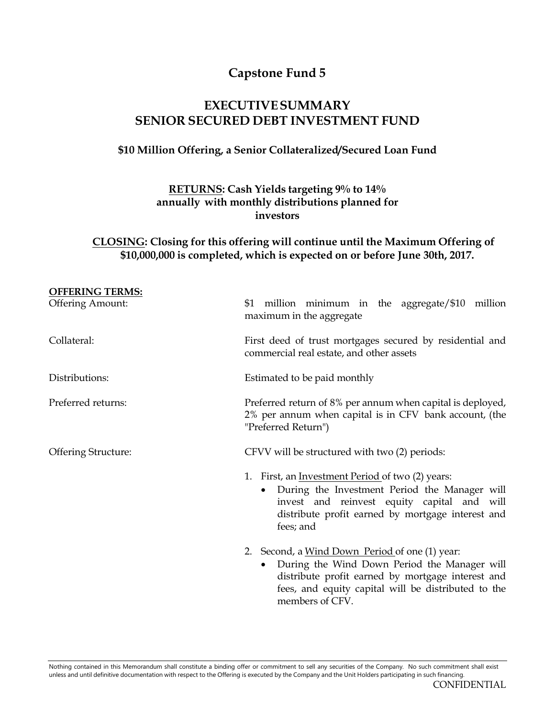# **Capstone Fund 5**

# **EXECUTIVESUMMARY SENIOR SECURED DEBT INVESTMENT FUND**

## **\$10 Million Offering, a Senior Collateralized/Secured Loan Fund**

## **RETURNS: Cash Yields targeting 9% to 14% annually with monthly distributions planned for investors**

### **CLOSING: Closing for this offering will continue until the Maximum Offering of \$10,000,000 is completed, which is expected on or before June 30th, 2017.**

| <b>OFFERING TERMS:</b>     |                                                                                                                                                                                                                                           |
|----------------------------|-------------------------------------------------------------------------------------------------------------------------------------------------------------------------------------------------------------------------------------------|
| <b>Offering Amount:</b>    | \$1 million minimum in the aggregate/\$10 million<br>maximum in the aggregate                                                                                                                                                             |
| Collateral:                | First deed of trust mortgages secured by residential and<br>commercial real estate, and other assets                                                                                                                                      |
| Distributions:             | Estimated to be paid monthly                                                                                                                                                                                                              |
| Preferred returns:         | Preferred return of 8% per annum when capital is deployed,<br>2% per annum when capital is in CFV bank account, (the<br>"Preferred Return")                                                                                               |
| <b>Offering Structure:</b> | CFVV will be structured with two (2) periods:                                                                                                                                                                                             |
|                            | First, an <u>Investment Period</u> of two (2) years:<br>1.<br>During the Investment Period the Manager will<br>$\bullet$<br>invest and reinvest equity capital and will<br>distribute profit earned by mortgage interest and<br>fees; and |
|                            | 2. Second, a Wind Down Period of one (1) year:<br>During the Wind Down Period the Manager will<br>distribute profit earned by mortgage interest and<br>fees, and equity capital will be distributed to the<br>members of CFV.             |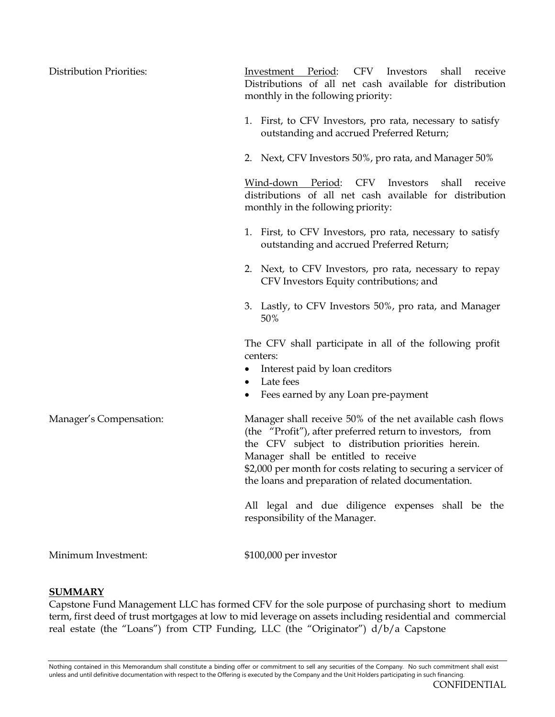| <b>Distribution Priorities:</b> | Investment Period: CFV<br>Investors<br>shall receive<br>Distributions of all net cash available for distribution<br>monthly in the following priority:                                                                                                                                                                                        |
|---------------------------------|-----------------------------------------------------------------------------------------------------------------------------------------------------------------------------------------------------------------------------------------------------------------------------------------------------------------------------------------------|
|                                 | 1. First, to CFV Investors, pro rata, necessary to satisfy<br>outstanding and accrued Preferred Return;                                                                                                                                                                                                                                       |
|                                 | 2. Next, CFV Investors 50%, pro rata, and Manager 50%                                                                                                                                                                                                                                                                                         |
|                                 | CFV<br>Wind-down<br>Period:<br>Investors<br>shall<br>receive<br>distributions of all net cash available for distribution<br>monthly in the following priority:                                                                                                                                                                                |
|                                 | 1. First, to CFV Investors, pro rata, necessary to satisfy<br>outstanding and accrued Preferred Return;                                                                                                                                                                                                                                       |
|                                 | 2. Next, to CFV Investors, pro rata, necessary to repay<br>CFV Investors Equity contributions; and                                                                                                                                                                                                                                            |
|                                 | 3. Lastly, to CFV Investors 50%, pro rata, and Manager<br>50%                                                                                                                                                                                                                                                                                 |
|                                 | The CFV shall participate in all of the following profit<br>centers:                                                                                                                                                                                                                                                                          |
|                                 | Interest paid by loan creditors                                                                                                                                                                                                                                                                                                               |
|                                 | Late fees<br>٠<br>Fees earned by any Loan pre-payment                                                                                                                                                                                                                                                                                         |
| Manager's Compensation:         | Manager shall receive 50% of the net available cash flows<br>(the "Profit"), after preferred return to investors, from<br>the CFV subject to distribution priorities herein.<br>Manager shall be entitled to receive<br>\$2,000 per month for costs relating to securing a servicer of<br>the loans and preparation of related documentation. |
|                                 | All legal and due diligence expenses shall be the<br>responsibility of the Manager.                                                                                                                                                                                                                                                           |
| Minimum Investment:             | \$100,000 per investor                                                                                                                                                                                                                                                                                                                        |

#### **SUMMARY**

Capstone Fund Management LLC has formed CFV for the sole purpose of purchasing short to medium term, first deed of trust mortgages at low to mid leverage on assets including residential and commercial real estate (the "Loans") from CTP Funding, LLC (the "Originator") d/b/a Capstone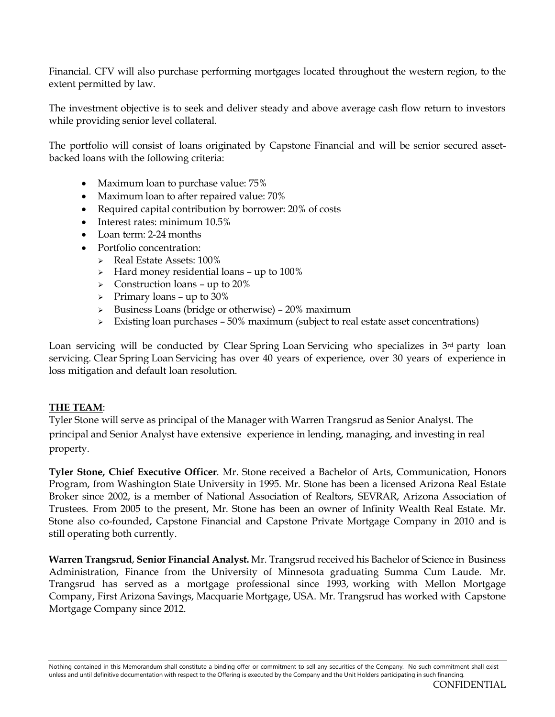Financial. CFV will also purchase performing mortgages located throughout the western region, to the extent permitted by law.

The investment objective is to seek and deliver steady and above average cash flow return to investors while providing senior level collateral.

The portfolio will consist of loans originated by Capstone Financial and will be senior secured assetbacked loans with the following criteria:

- Maximum loan to purchase value: 75%
- Maximum loan to after repaired value: 70%
- Required capital contribution by borrower: 20% of costs
- Interest rates: minimum 10.5%
- Loan term: 2-24 months
- Portfolio concentration:
	- $\triangleright$  Real Estate Assets: 100%
		- $\triangleright$  Hard money residential loans up to 100%
		- $\geq$  Construction loans up to 20%
		- $\triangleright$  Primary loans up to 30%
		- $\triangleright$  Business Loans (bridge or otherwise) 20% maximum
		- $\triangleright$  Existing loan purchases 50% maximum (subject to real estate asset concentrations)

Loan servicing will be conducted by Clear Spring Loan Servicing who specializes in  $3<sup>rd</sup>$  party loan servicing. Clear Spring Loan Servicing has over 40 years of experience, over 30 years of experience in loss mitigation and default loan resolution.

#### **THE TEAM**:

Tyler Stone will serve as principal of the Manager with Warren Trangsrud as Senior Analyst. The principal and Senior Analyst have extensive experience in lending, managing, and investing in real property.

**Tyler Stone, Chief Executive Officer**. Mr. Stone received a Bachelor of Arts, Communication, Honors Program, from Washington State University in 1995. Mr. Stone has been a licensed Arizona Real Estate Broker since 2002, is a member of National Association of Realtors, SEVRAR, Arizona Association of Trustees. From 2005 to the present, Mr. Stone has been an owner of Infinity Wealth Real Estate. Mr. Stone also co-founded, Capstone Financial and Capstone Private Mortgage Company in 2010 and is still operating both currently.

**Warren Trangsrud**, **Senior Financial Analyst.** Mr. Trangsrud received his Bachelor of Science in Business Administration, Finance from the University of Minnesota graduating Summa Cum Laude. Mr. Trangsrud has served as a mortgage professional since 1993, working with Mellon Mortgage Company, First Arizona Savings, Macquarie Mortgage, USA. Mr. Trangsrud has worked with Capstone Mortgage Company since 2012.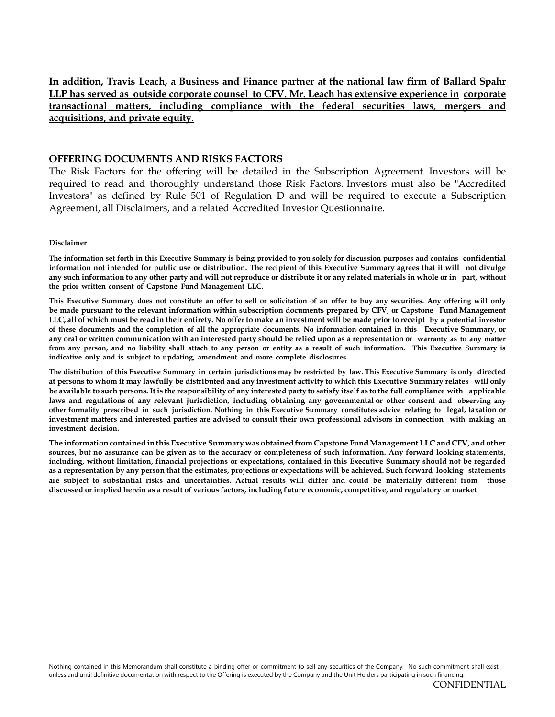**In addition, Travis Leach, a Business and Finance partner at the national law firm of Ballard Spahr LLP has served as outside corporate counsel to CFV. Mr. Leach has extensive experience in corporate transactional matters, including compliance with the federal securities laws, mergers and acquisitions, and private equity.**

#### **OFFERING DOCUMENTS AND RISKS FACTORS**

The Risk Factors for the offering will be detailed in the Subscription Agreement. Investors will be required to read and thoroughly understand those Risk Factors. Investors must also be "Accredited Investors" as defined by Rule 501 of Regulation D and will be required to execute a Subscription Agreement, all Disclaimers, and a related Accredited Investor Questionnaire.

#### **Disclaimer**

The information set forth in this Executive Summary is being provided to you solely for discussion purposes and contains confidential information not intended for public use or distribution. The recipient of this Executive Summary agrees that it will not divulge any such information to any other party and will not reproduce or distribute it or any related materials in whole or in part, without **the prior written consent of Capstone Fund Management LLC.**

This Executive Summary does not constitute an offer to sell or solicitation of an offer to buy any securities. Any offering will only be made pursuant to the relevant information within subscription documents prepared by CFV, or Capstone Fund Management LLC, all of which must be read in their entirety. No offer to make an investment will be made prior to receipt by a potential investor of these documents and the completion of all the appropriate documents. No information contained in this Executive Summary, or any oral or written communication with an interested party should be relied upon as a representation or warranty as to any matter from any person, and no liability shall attach to any person or entity as a result of such information. This Executive Summary is **indicative only and is subject to updating, amendment and more complete disclosures.**

The distribution of this Executive Summary in certain jurisdictions may be restricted by law. This Executive Summary is only directed at persons to whom it may lawfully be distributed and any investment activity to which this Executive Summary relates will only be available to such persons. It is the responsibility of any interested party to satisfy itself as to the full compliance with applicable laws and regulations of any relevant jurisdiction, including obtaining any governmental or other consent and observing any other formality prescribed in such jurisdiction. Nothing in this Executive Summary constitutes advice relating to legal, taxation or investment matters and interested parties are advised to consult their own professional advisors in connection with making an **investment decision.**

**The informationcontainedin this Executive Summary was obtainedfrom Capstone FundManagement LLCand CFV, and other** sources, but no assurance can be given as to the accuracy or completeness of such information. Any forward looking statements, including, without limitation, financial projections or expectations, contained in this Executive Summary should not be regarded as a representation by any person that the estimates, projections or expectations will be achieved. Such forward looking statements are subject to substantial risks and uncertainties. Actual results will differ and could be materially different from those discussed or implied herein as a result of various factors, including future economic, competitive, and regulatory or market